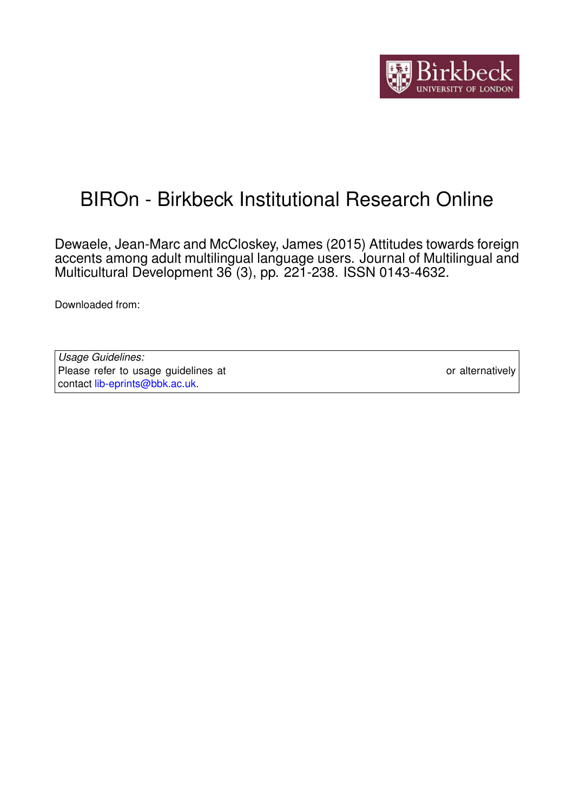

# BIROn - Birkbeck Institutional Research Online

Dewaele, Jean-Marc and McCloskey, James (2015) Attitudes towards foreign accents among adult multilingual language users. Journal of Multilingual and Multicultural Development 36 (3), pp. 221-238. ISSN 0143-4632.

Downloaded from: <https://eprints.bbk.ac.uk/id/eprint/9735/>

*Usage Guidelines:* Please refer to usage guidelines at <https://eprints.bbk.ac.uk/policies.html> or alternatively contact [lib-eprints@bbk.ac.uk.](mailto:lib-eprints@bbk.ac.uk)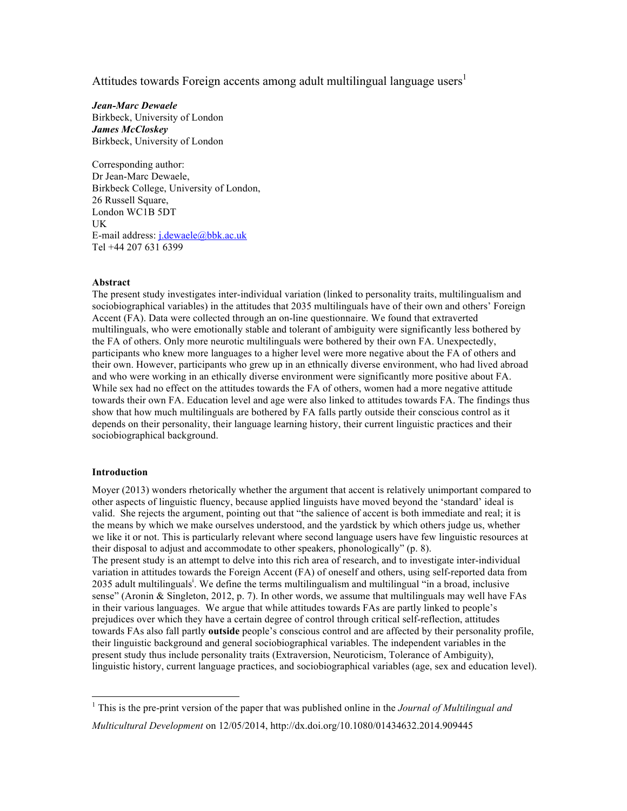Attitudes towards Foreign accents among adult multilingual language users<sup>1</sup>

*Jean-Marc Dewaele* Birkbeck, University of London *James McCloskey* Birkbeck, University of London

Corresponding author: Dr Jean-Marc Dewaele, Birkbeck College, University of London, 26 Russell Square, London WC1B 5DT UK E-mail address: j.dewaele@bbk.ac.uk Tel +44 207 631 6399

# **Abstract**

The present study investigates inter-individual variation (linked to personality traits, multilingualism and sociobiographical variables) in the attitudes that 2035 multilinguals have of their own and others' Foreign Accent (FA). Data were collected through an on-line questionnaire. We found that extraverted multilinguals, who were emotionally stable and tolerant of ambiguity were significantly less bothered by the FA of others. Only more neurotic multilinguals were bothered by their own FA. Unexpectedly, participants who knew more languages to a higher level were more negative about the FA of others and their own. However, participants who grew up in an ethnically diverse environment, who had lived abroad and who were working in an ethically diverse environment were significantly more positive about FA. While sex had no effect on the attitudes towards the FA of others, women had a more negative attitude towards their own FA. Education level and age were also linked to attitudes towards FA. The findings thus show that how much multilinguals are bothered by FA falls partly outside their conscious control as it depends on their personality, their language learning history, their current linguistic practices and their sociobiographical background.

## **Introduction**

Moyer (2013) wonders rhetorically whether the argument that accent is relatively unimportant compared to other aspects of linguistic fluency, because applied linguists have moved beyond the 'standard' ideal is valid. She rejects the argument, pointing out that "the salience of accent is both immediate and real; it is the means by which we make ourselves understood, and the yardstick by which others judge us, whether we like it or not. This is particularly relevant where second language users have few linguistic resources at their disposal to adjust and accommodate to other speakers, phonologically" (p. 8). The present study is an attempt to delve into this rich area of research, and to investigate inter-individual variation in attitudes towards the Foreign Accent (FA) of oneself and others, using self-reported data from 2035 adult multilinguals<sup>i</sup>. We define the terms multilingualism and multilingual "in a broad, inclusive sense" (Aronin & Singleton, 2012, p. 7). In other words, we assume that multilinguals may well have FAs in their various languages. We argue that while attitudes towards FAs are partly linked to people's prejudices over which they have a certain degree of control through critical self-reflection, attitudes towards FAs also fall partly **outside** people's conscious control and are affected by their personality profile, their linguistic background and general sociobiographical variables. The independent variables in the present study thus include personality traits (Extraversion, Neuroticism, Tolerance of Ambiguity), linguistic history, current language practices, and sociobiographical variables (age, sex and education level).

 $\frac{1}{1}$  This is the pre-print version of the paper that was published online in the *Journal of Multilingual and Multicultural Development* on 12/05/2014, http://dx.doi.org/10.1080/01434632.2014.909445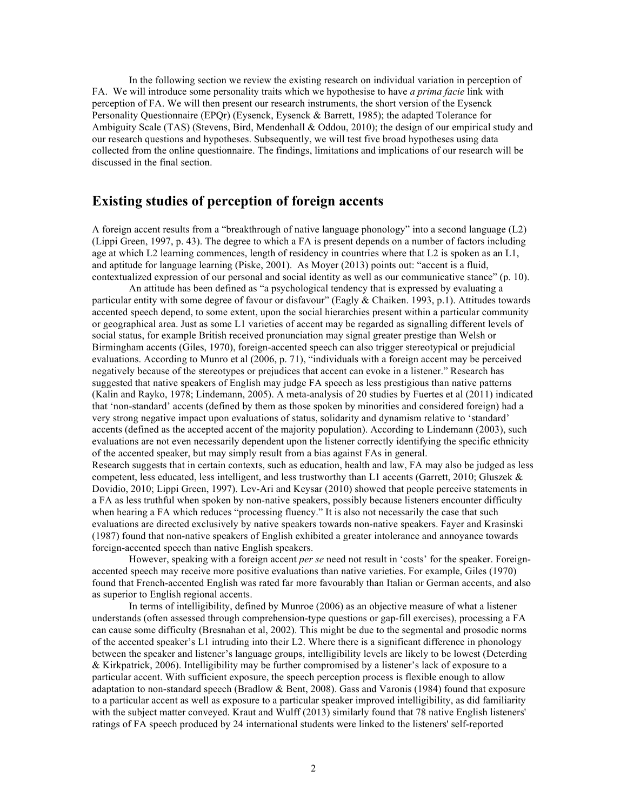In the following section we review the existing research on individual variation in perception of FA. We will introduce some personality traits which we hypothesise to have *a prima facie* link with perception of FA. We will then present our research instruments, the short version of the Eysenck Personality Questionnaire (EPQr) (Eysenck, Eysenck & Barrett, 1985); the adapted Tolerance for Ambiguity Scale (TAS) (Stevens, Bird, Mendenhall & Oddou, 2010); the design of our empirical study and our research questions and hypotheses. Subsequently, we will test five broad hypotheses using data collected from the online questionnaire. The findings, limitations and implications of our research will be discussed in the final section.

# **Existing studies of perception of foreign accents**

A foreign accent results from a "breakthrough of native language phonology" into a second language (L2) (Lippi Green, 1997, p. 43). The degree to which a FA is present depends on a number of factors including age at which L2 learning commences, length of residency in countries where that L2 is spoken as an L1, and aptitude for language learning (Piske, 2001). As Moyer (2013) points out: "accent is a fluid, contextualized expression of our personal and social identity as well as our communicative stance" (p. 10).

An attitude has been defined as "a psychological tendency that is expressed by evaluating a particular entity with some degree of favour or disfavour" (Eagly & Chaiken. 1993, p.1). Attitudes towards accented speech depend, to some extent, upon the social hierarchies present within a particular community or geographical area. Just as some L1 varieties of accent may be regarded as signalling different levels of social status, for example British received pronunciation may signal greater prestige than Welsh or Birmingham accents (Giles, 1970), foreign-accented speech can also trigger stereotypical or prejudicial evaluations. According to Munro et al (2006, p. 71), "individuals with a foreign accent may be perceived negatively because of the stereotypes or prejudices that accent can evoke in a listener." Research has suggested that native speakers of English may judge FA speech as less prestigious than native patterns (Kalin and Rayko, 1978; Lindemann, 2005). A meta-analysis of 20 studies by Fuertes et al (2011) indicated that 'non-standard' accents (defined by them as those spoken by minorities and considered foreign) had a very strong negative impact upon evaluations of status, solidarity and dynamism relative to 'standard' accents (defined as the accepted accent of the majority population). According to Lindemann (2003), such evaluations are not even necessarily dependent upon the listener correctly identifying the specific ethnicity of the accented speaker, but may simply result from a bias against FAs in general. Research suggests that in certain contexts, such as education, health and law, FA may also be judged as less competent, less educated, less intelligent, and less trustworthy than L1 accents (Garrett, 2010; Gluszek & Dovidio, 2010; Lippi Green, 1997). Lev-Ari and Keysar (2010) showed that people perceive statements in a FA as less truthful when spoken by non-native speakers, possibly because listeners encounter difficulty when hearing a FA which reduces "processing fluency." It is also not necessarily the case that such evaluations are directed exclusively by native speakers towards non-native speakers. Fayer and Krasinski (1987) found that non-native speakers of English exhibited a greater intolerance and annoyance towards foreign-accented speech than native English speakers.

However, speaking with a foreign accent *per se* need not result in 'costs' for the speaker. Foreignaccented speech may receive more positive evaluations than native varieties. For example, Giles (1970) found that French-accented English was rated far more favourably than Italian or German accents, and also as superior to English regional accents.

In terms of intelligibility, defined by Munroe (2006) as an objective measure of what a listener understands (often assessed through comprehension-type questions or gap-fill exercises), processing a FA can cause some difficulty (Bresnahan et al, 2002). This might be due to the segmental and prosodic norms of the accented speaker's L1 intruding into their L2. Where there is a significant difference in phonology between the speaker and listener's language groups, intelligibility levels are likely to be lowest (Deterding & Kirkpatrick, 2006). Intelligibility may be further compromised by a listener's lack of exposure to a particular accent. With sufficient exposure, the speech perception process is flexible enough to allow adaptation to non-standard speech (Bradlow & Bent, 2008). Gass and Varonis (1984) found that exposure to a particular accent as well as exposure to a particular speaker improved intelligibility, as did familiarity with the subject matter conveyed. Kraut and Wulff (2013) similarly found that 78 native English listeners' ratings of FA speech produced by 24 international students were linked to the listeners' self-reported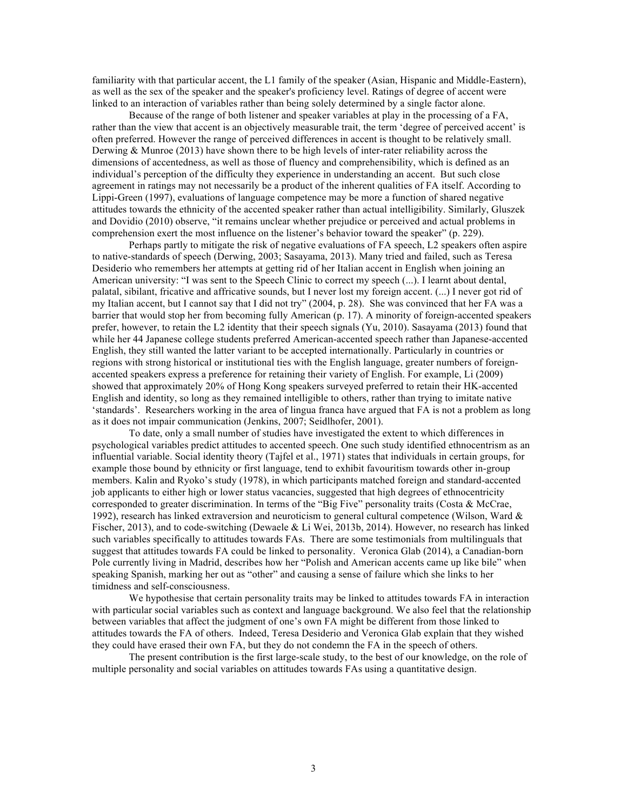familiarity with that particular accent, the L1 family of the speaker (Asian, Hispanic and Middle-Eastern), as well as the sex of the speaker and the speaker's proficiency level. Ratings of degree of accent were linked to an interaction of variables rather than being solely determined by a single factor alone.

Because of the range of both listener and speaker variables at play in the processing of a FA, rather than the view that accent is an objectively measurable trait, the term 'degree of perceived accent' is often preferred. However the range of perceived differences in accent is thought to be relatively small. Derwing & Munroe (2013) have shown there to be high levels of inter-rater reliability across the dimensions of accentedness, as well as those of fluency and comprehensibility, which is defined as an individual's perception of the difficulty they experience in understanding an accent. But such close agreement in ratings may not necessarily be a product of the inherent qualities of FA itself. According to Lippi-Green (1997), evaluations of language competence may be more a function of shared negative attitudes towards the ethnicity of the accented speaker rather than actual intelligibility. Similarly, Gluszek and Dovidio (2010) observe, "it remains unclear whether prejudice or perceived and actual problems in comprehension exert the most influence on the listener's behavior toward the speaker" (p. 229).

Perhaps partly to mitigate the risk of negative evaluations of FA speech, L2 speakers often aspire to native-standards of speech (Derwing, 2003; Sasayama, 2013). Many tried and failed, such as Teresa Desiderio who remembers her attempts at getting rid of her Italian accent in English when joining an American university: "I was sent to the Speech Clinic to correct my speech (...). I learnt about dental, palatal, sibilant, fricative and affricative sounds, but I never lost my foreign accent. (...) I never got rid of my Italian accent, but I cannot say that I did not try" (2004, p. 28). She was convinced that her FA was a barrier that would stop her from becoming fully American (p. 17). A minority of foreign-accented speakers prefer, however, to retain the L2 identity that their speech signals (Yu, 2010). Sasayama (2013) found that while her 44 Japanese college students preferred American-accented speech rather than Japanese-accented English, they still wanted the latter variant to be accepted internationally. Particularly in countries or regions with strong historical or institutional ties with the English language, greater numbers of foreignaccented speakers express a preference for retaining their variety of English. For example, Li (2009) showed that approximately 20% of Hong Kong speakers surveyed preferred to retain their HK-accented English and identity, so long as they remained intelligible to others, rather than trying to imitate native 'standards'. Researchers working in the area of lingua franca have argued that FA is not a problem as long as it does not impair communication (Jenkins, 2007; Seidlhofer, 2001).

To date, only a small number of studies have investigated the extent to which differences in psychological variables predict attitudes to accented speech. One such study identified ethnocentrism as an influential variable. Social identity theory (Tajfel et al., 1971) states that individuals in certain groups, for example those bound by ethnicity or first language, tend to exhibit favouritism towards other in-group members. Kalin and Ryoko's study (1978), in which participants matched foreign and standard-accented job applicants to either high or lower status vacancies, suggested that high degrees of ethnocentricity corresponded to greater discrimination. In terms of the "Big Five" personality traits (Costa & McCrae, 1992), research has linked extraversion and neuroticism to general cultural competence (Wilson, Ward  $\&$ Fischer, 2013), and to code-switching (Dewaele & Li Wei, 2013b, 2014). However, no research has linked such variables specifically to attitudes towards FAs. There are some testimonials from multilinguals that suggest that attitudes towards FA could be linked to personality. Veronica Glab (2014), a Canadian-born Pole currently living in Madrid, describes how her "Polish and American accents came up like bile" when speaking Spanish, marking her out as "other" and causing a sense of failure which she links to her timidness and self-consciousness.

We hypothesise that certain personality traits may be linked to attitudes towards FA in interaction with particular social variables such as context and language background. We also feel that the relationship between variables that affect the judgment of one's own FA might be different from those linked to attitudes towards the FA of others. Indeed, Teresa Desiderio and Veronica Glab explain that they wished they could have erased their own FA, but they do not condemn the FA in the speech of others.

The present contribution is the first large-scale study, to the best of our knowledge, on the role of multiple personality and social variables on attitudes towards FAs using a quantitative design.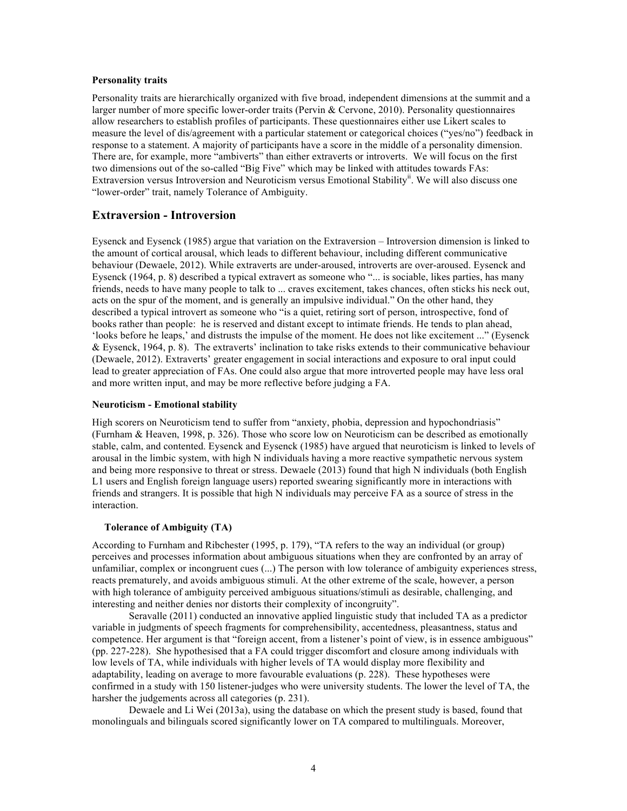# **Personality traits**

Personality traits are hierarchically organized with five broad, independent dimensions at the summit and a larger number of more specific lower-order traits (Pervin & Cervone, 2010). Personality questionnaires allow researchers to establish profiles of participants. These questionnaires either use Likert scales to measure the level of dis/agreement with a particular statement or categorical choices ("yes/no") feedback in response to a statement. A majority of participants have a score in the middle of a personality dimension. There are, for example, more "ambiverts" than either extraverts or introverts. We will focus on the first two dimensions out of the so-called "Big Five" which may be linked with attitudes towards FAs: Extraversion versus Introversion and Neuroticism versus Emotional Stability<sup>ii</sup>. We will also discuss one "lower-order" trait, namely Tolerance of Ambiguity.

# **Extraversion - Introversion**

Eysenck and Eysenck (1985) argue that variation on the Extraversion – Introversion dimension is linked to the amount of cortical arousal, which leads to different behaviour, including different communicative behaviour (Dewaele, 2012). While extraverts are under-aroused, introverts are over-aroused. Eysenck and Eysenck (1964, p. 8) described a typical extravert as someone who "... is sociable, likes parties, has many friends, needs to have many people to talk to ... craves excitement, takes chances, often sticks his neck out, acts on the spur of the moment, and is generally an impulsive individual." On the other hand, they described a typical introvert as someone who "is a quiet, retiring sort of person, introspective, fond of books rather than people: he is reserved and distant except to intimate friends. He tends to plan ahead, 'looks before he leaps,' and distrusts the impulse of the moment. He does not like excitement ..." (Eysenck & Eysenck, 1964, p. 8). The extraverts' inclination to take risks extends to their communicative behaviour (Dewaele, 2012). Extraverts' greater engagement in social interactions and exposure to oral input could lead to greater appreciation of FAs. One could also argue that more introverted people may have less oral and more written input, and may be more reflective before judging a FA.

### **Neuroticism - Emotional stability**

High scorers on Neuroticism tend to suffer from "anxiety, phobia, depression and hypochondriasis" (Furnham & Heaven, 1998, p. 326). Those who score low on Neuroticism can be described as emotionally stable, calm, and contented. Eysenck and Eysenck (1985) have argued that neuroticism is linked to levels of arousal in the limbic system, with high N individuals having a more reactive sympathetic nervous system and being more responsive to threat or stress. Dewaele (2013) found that high N individuals (both English L1 users and English foreign language users) reported swearing significantly more in interactions with friends and strangers. It is possible that high N individuals may perceive FA as a source of stress in the interaction.

## **Tolerance of Ambiguity (TA)**

According to Furnham and Ribchester (1995, p. 179), "TA refers to the way an individual (or group) perceives and processes information about ambiguous situations when they are confronted by an array of unfamiliar, complex or incongruent cues (...) The person with low tolerance of ambiguity experiences stress, reacts prematurely, and avoids ambiguous stimuli. At the other extreme of the scale, however, a person with high tolerance of ambiguity perceived ambiguous situations/stimuli as desirable, challenging, and interesting and neither denies nor distorts their complexity of incongruity".

Seravalle (2011) conducted an innovative applied linguistic study that included TA as a predictor variable in judgments of speech fragments for comprehensibility, accentedness, pleasantness, status and competence. Her argument is that "foreign accent, from a listener's point of view, is in essence ambiguous" (pp. 227-228). She hypothesised that a FA could trigger discomfort and closure among individuals with low levels of TA, while individuals with higher levels of TA would display more flexibility and adaptability, leading on average to more favourable evaluations (p. 228). These hypotheses were confirmed in a study with 150 listener-judges who were university students. The lower the level of TA, the harsher the judgements across all categories (p. 231).

Dewaele and Li Wei (2013a), using the database on which the present study is based, found that monolinguals and bilinguals scored significantly lower on TA compared to multilinguals. Moreover,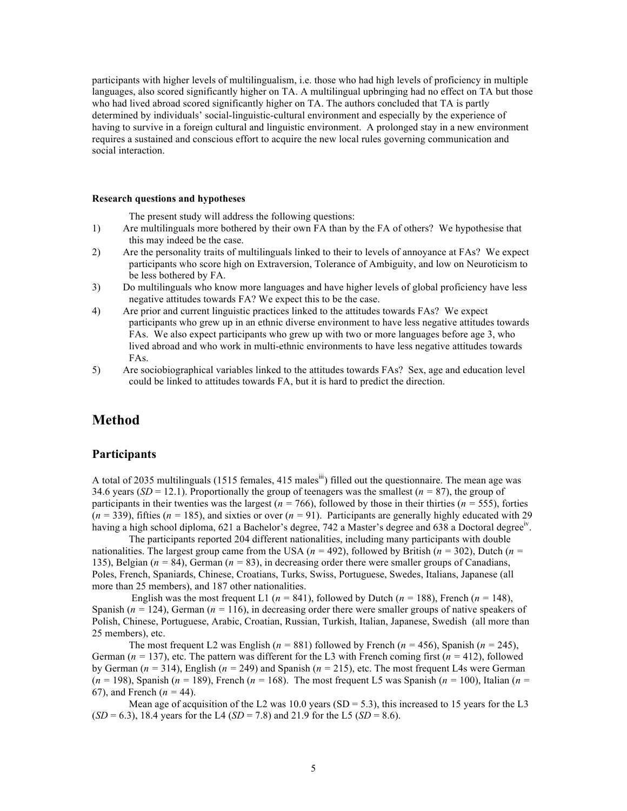participants with higher levels of multilingualism, i.e. those who had high levels of proficiency in multiple languages, also scored significantly higher on TA. A multilingual upbringing had no effect on TA but those who had lived abroad scored significantly higher on TA. The authors concluded that TA is partly determined by individuals' social-linguistic-cultural environment and especially by the experience of having to survive in a foreign cultural and linguistic environment. A prolonged stay in a new environment requires a sustained and conscious effort to acquire the new local rules governing communication and social interaction.

### **Research questions and hypotheses**

The present study will address the following questions:

- 1) Are multilinguals more bothered by their own FA than by the FA of others? We hypothesise that this may indeed be the case.
- 2) Are the personality traits of multilinguals linked to their to levels of annoyance at FAs? We expect participants who score high on Extraversion, Tolerance of Ambiguity, and low on Neuroticism to be less bothered by FA.
- 3) Do multilinguals who know more languages and have higher levels of global proficiency have less negative attitudes towards FA? We expect this to be the case.
- 4) Are prior and current linguistic practices linked to the attitudes towards FAs? We expect participants who grew up in an ethnic diverse environment to have less negative attitudes towards FAs. We also expect participants who grew up with two or more languages before age 3, who lived abroad and who work in multi-ethnic environments to have less negative attitudes towards FAs.
- 5) Are sociobiographical variables linked to the attitudes towards FAs? Sex, age and education level could be linked to attitudes towards FA, but it is hard to predict the direction.

# **Method**

# **Participants**

A total of 2035 multilinguals (1515 females, 415 males<sup>iii</sup>) filled out the questionnaire. The mean age was 34.6 years  $(SD = 12.1)$ . Proportionally the group of teenagers was the smallest  $(n = 87)$ , the group of participants in their twenties was the largest (*n =* 766), followed by those in their thirties (*n =* 555), forties  $(n = 339)$ , fifties  $(n = 185)$ , and sixties or over  $(n = 91)$ . Participants are generally highly educated with 29 having a high school diploma, 621 a Bachelor's degree, 742 a Master's degree and 638 a Doctoral degree<sup>ly</sup>.

The participants reported 204 different nationalities, including many participants with double nationalities. The largest group came from the USA (*n =* 492), followed by British (*n =* 302), Dutch (*n =* 135), Belgian (*n =* 84), German (*n =* 83), in decreasing order there were smaller groups of Canadians, Poles, French, Spaniards, Chinese, Croatians, Turks, Swiss, Portuguese, Swedes, Italians, Japanese (all more than 25 members), and 187 other nationalities.

English was the most frequent L1 ( $n = 841$ ), followed by Dutch ( $n = 188$ ), French ( $n = 148$ ), Spanish ( $n = 124$ ), German ( $n = 116$ ), in decreasing order there were smaller groups of native speakers of Polish, Chinese, Portuguese, Arabic, Croatian, Russian, Turkish, Italian, Japanese, Swedish (all more than 25 members), etc.

The most frequent L2 was English ( $n = 881$ ) followed by French ( $n = 456$ ), Spanish ( $n = 245$ ), German ( $n = 137$ ), etc. The pattern was different for the L3 with French coming first ( $n = 412$ ), followed by German (*n =* 314), English (*n =* 249) and Spanish (*n =* 215), etc. The most frequent L4s were German  $(n = 198)$ , Spanish ( $n = 189$ ), French ( $n = 168$ ). The most frequent L5 was Spanish ( $n = 100$ ), Italian ( $n = 100$ ) 67), and French (*n =* 44).

Mean age of acquisition of the L2 was 10.0 years (SD = 5.3), this increased to 15 years for the L3  $(SD = 6.3)$ , 18.4 years for the L4  $(SD = 7.8)$  and 21.9 for the L5  $(SD = 8.6)$ .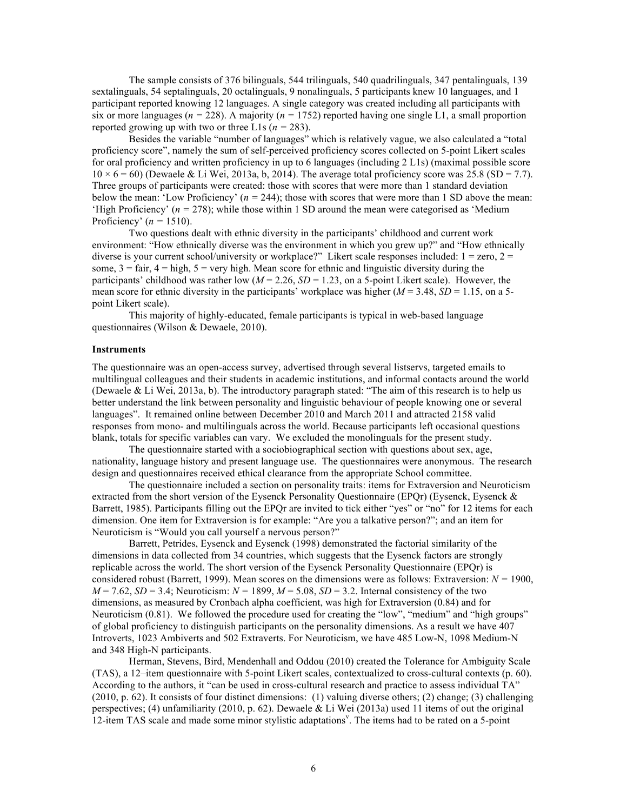The sample consists of 376 bilinguals, 544 trilinguals, 540 quadrilinguals, 347 pentalinguals, 139 sextalinguals, 54 septalinguals, 20 octalinguals, 9 nonalinguals, 5 participants knew 10 languages, and 1 participant reported knowing 12 languages. A single category was created including all participants with six or more languages ( $n = 228$ ). A majority ( $n = 1752$ ) reported having one single L1, a small proportion reported growing up with two or three L1s  $(n = 283)$ .

Besides the variable "number of languages" which is relatively vague, we also calculated a "total proficiency score", namely the sum of self-perceived proficiency scores collected on 5-point Likert scales for oral proficiency and written proficiency in up to 6 languages (including 2 L1s) (maximal possible score  $10 \times 6 = 60$ ) (Dewaele & Li Wei, 2013a, b, 2014). The average total proficiency score was 25.8 (SD = 7.7). Three groups of participants were created: those with scores that were more than 1 standard deviation below the mean: 'Low Proficiency' (*n =* 244); those with scores that were more than 1 SD above the mean: 'High Proficiency' ( $n = 278$ ); while those within 1 SD around the mean were categorised as 'Medium' Proficiency' (*n =* 1510).

Two questions dealt with ethnic diversity in the participants' childhood and current work environment: "How ethnically diverse was the environment in which you grew up?" and "How ethnically diverse is your current school/university or workplace?" Likert scale responses included:  $1 =$ zero,  $2 =$ some,  $3 = \text{fair}$ ,  $4 = \text{high}$ ,  $5 = \text{very high}$ . Mean score for ethnic and linguistic diversity during the participants' childhood was rather low  $(M = 2.26, SD = 1.23, on a 5-point Likert scale)$ . However, the mean score for ethnic diversity in the participants' workplace was higher  $(M = 3.48, SD = 1.15, on a 5$ point Likert scale).

This majority of highly-educated, female participants is typical in web-based language questionnaires (Wilson & Dewaele, 2010).

## **Instruments**

The questionnaire was an open-access survey, advertised through several listservs, targeted emails to multilingual colleagues and their students in academic institutions, and informal contacts around the world (Dewaele & Li Wei, 2013a, b). The introductory paragraph stated: "The aim of this research is to help us better understand the link between personality and linguistic behaviour of people knowing one or several languages". It remained online between December 2010 and March 2011 and attracted 2158 valid responses from mono- and multilinguals across the world. Because participants left occasional questions blank, totals for specific variables can vary. We excluded the monolinguals for the present study.

The questionnaire started with a sociobiographical section with questions about sex, age, nationality, language history and present language use. The questionnaires were anonymous. The research design and questionnaires received ethical clearance from the appropriate School committee.

The questionnaire included a section on personality traits: items for Extraversion and Neuroticism extracted from the short version of the Eysenck Personality Questionnaire (EPQr) (Eysenck, Eysenck & Barrett, 1985). Participants filling out the EPQr are invited to tick either "yes" or "no" for 12 items for each dimension. One item for Extraversion is for example: "Are you a talkative person?"; and an item for Neuroticism is "Would you call yourself a nervous person?"

Barrett, Petrides, Eysenck and Eysenck (1998) demonstrated the factorial similarity of the dimensions in data collected from 34 countries, which suggests that the Eysenck factors are strongly replicable across the world. The short version of the Eysenck Personality Questionnaire (EPQr) is considered robust (Barrett, 1999). Mean scores on the dimensions were as follows: Extraversion: *N =* 1900,  $M = 7.62$ ,  $SD = 3.4$ ; Neuroticism:  $N = 1899$ ,  $M = 5.08$ ,  $SD = 3.2$ . Internal consistency of the two dimensions, as measured by Cronbach alpha coefficient, was high for Extraversion (0.84) and for Neuroticism (0.81). We followed the procedure used for creating the "low", "medium" and "high groups" of global proficiency to distinguish participants on the personality dimensions. As a result we have 407 Introverts, 1023 Ambiverts and 502 Extraverts. For Neuroticism, we have 485 Low-N, 1098 Medium-N and 348 High-N participants.

Herman, Stevens, Bird, Mendenhall and Oddou (2010) created the Tolerance for Ambiguity Scale (TAS), a 12–item questionnaire with 5-point Likert scales, contextualized to cross-cultural contexts (p. 60). According to the authors, it "can be used in cross-cultural research and practice to assess individual TA" (2010, p. 62). It consists of four distinct dimensions: (1) valuing diverse others; (2) change; (3) challenging perspectives; (4) unfamiliarity (2010, p. 62). Dewaele & Li Wei (2013a) used 11 items of out the original 12-item TAS scale and made some minor stylistic adaptations<sup>v</sup>. The items had to be rated on a 5-point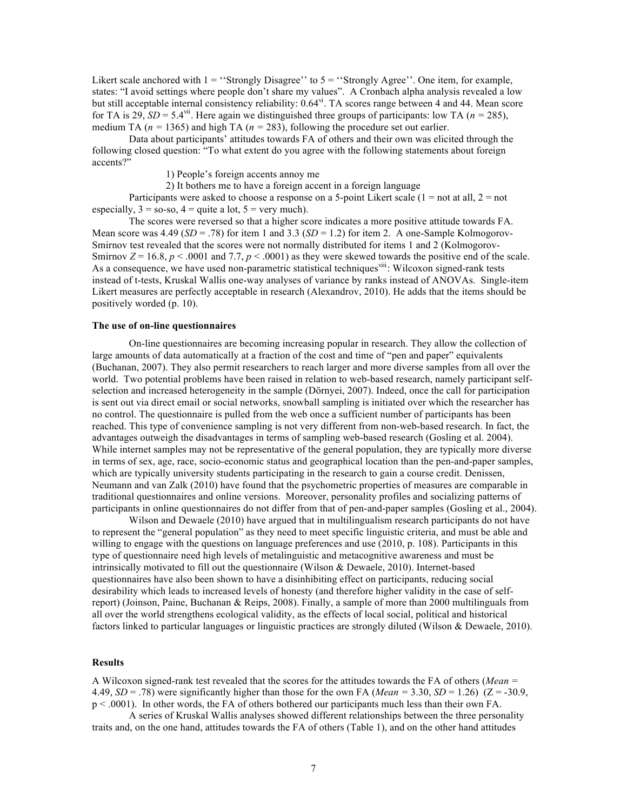Likert scale anchored with  $1 =$  "Strongly Disagree" to  $5 =$  "Strongly Agree". One item, for example, states: "I avoid settings where people don't share my values". A Cronbach alpha analysis revealed a low but still acceptable internal consistency reliability: 0.64<sup>vi</sup>. TA scores range between 4 and 44. Mean score for TA is 29,  $SD = 5.4$ <sup>vii</sup>. Here again we distinguished three groups of participants: low TA ( $n = 285$ ), medium TA ( $n = 1365$ ) and high TA ( $n = 283$ ), following the procedure set out earlier.

Data about participants' attitudes towards FA of others and their own was elicited through the following closed question: "To what extent do you agree with the following statements about foreign accents?"

1) People's foreign accents annoy me

2) It bothers me to have a foreign accent in a foreign language

Participants were asked to choose a response on a 5-point Likert scale  $(1 = not at all, 2 = not$ especially,  $3 =$  so-so,  $4 =$  quite a lot,  $5 =$  very much).

The scores were reversed so that a higher score indicates a more positive attitude towards FA. Mean score was  $4.49$  (*SD* = .78) for item 1 and 3.3 (*SD* = 1.2) for item 2. A one-Sample Kolmogorov-Smirnov test revealed that the scores were not normally distributed for items 1 and 2 (Kolmogorov-Smirnov  $Z = 16.8$ ,  $p < .0001$  and 7.7,  $p < .0001$ ) as they were skewed towards the positive end of the scale. As a consequence, we have used non-parametric statistical techniques<sup>viii</sup>: Wilcoxon signed-rank tests instead of t-tests, Kruskal Wallis one-way analyses of variance by ranks instead of ANOVAs. Single-item Likert measures are perfectly acceptable in research (Alexandrov, 2010). He adds that the items should be positively worded (p. 10).

## **The use of on-line questionnaires**

On-line questionnaires are becoming increasing popular in research. They allow the collection of large amounts of data automatically at a fraction of the cost and time of "pen and paper" equivalents (Buchanan, 2007). They also permit researchers to reach larger and more diverse samples from all over the world. Two potential problems have been raised in relation to web-based research, namely participant selfselection and increased heterogeneity in the sample (Dörnyei, 2007). Indeed, once the call for participation is sent out via direct email or social networks, snowball sampling is initiated over which the researcher has no control. The questionnaire is pulled from the web once a sufficient number of participants has been reached. This type of convenience sampling is not very different from non-web-based research. In fact, the advantages outweigh the disadvantages in terms of sampling web-based research (Gosling et al. 2004). While internet samples may not be representative of the general population, they are typically more diverse in terms of sex, age, race, socio-economic status and geographical location than the pen-and-paper samples, which are typically university students participating in the research to gain a course credit. Denissen, Neumann and van Zalk (2010) have found that the psychometric properties of measures are comparable in traditional questionnaires and online versions. Moreover, personality profiles and socializing patterns of participants in online questionnaires do not differ from that of pen-and-paper samples (Gosling et al., 2004).

Wilson and Dewaele (2010) have argued that in multilingualism research participants do not have to represent the "general population" as they need to meet specific linguistic criteria, and must be able and willing to engage with the questions on language preferences and use (2010, p. 108). Participants in this type of questionnaire need high levels of metalinguistic and metacognitive awareness and must be intrinsically motivated to fill out the questionnaire (Wilson & Dewaele, 2010). Internet-based questionnaires have also been shown to have a disinhibiting effect on participants, reducing social desirability which leads to increased levels of honesty (and therefore higher validity in the case of selfreport) (Joinson, Paine, Buchanan & Reips, 2008). Finally, a sample of more than 2000 multilinguals from all over the world strengthens ecological validity, as the effects of local social, political and historical factors linked to particular languages or linguistic practices are strongly diluted (Wilson & Dewaele, 2010).

## **Results**

A Wilcoxon signed-rank test revealed that the scores for the attitudes towards the FA of others (*Mean =* 4.49,  $SD = .78$ ) were significantly higher than those for the own FA (*Mean* = 3.30,  $SD = 1.26$ ) ( $Z = -30.9$ , p < .0001). In other words, the FA of others bothered our participants much less than their own FA.

A series of Kruskal Wallis analyses showed different relationships between the three personality traits and, on the one hand, attitudes towards the FA of others (Table 1), and on the other hand attitudes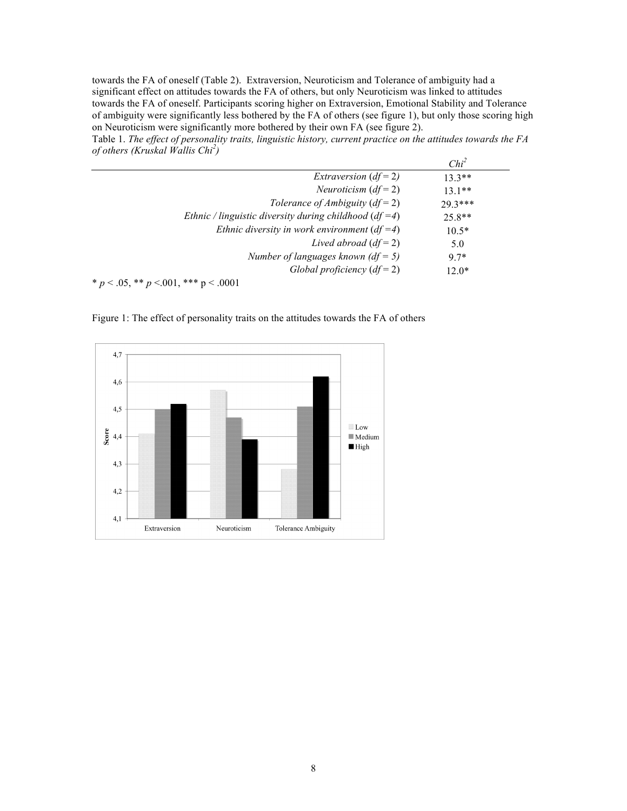towards the FA of oneself (Table 2). Extraversion, Neuroticism and Tolerance of ambiguity had a significant effect on attitudes towards the FA of others, but only Neuroticism was linked to attitudes towards the FA of oneself. Participants scoring higher on Extraversion, Emotional Stability and Tolerance of ambiguity were significantly less bothered by the FA of others (see figure 1), but only those scoring high on Neuroticism were significantly more bothered by their own FA (see figure 2).

Table 1. *The effect of personality traits, linguistic history, current practice on the attitudes towards the FA of others (Kruskal Wallis Chi<sup>2</sup> )*

|                                                           | Chi <sup>2</sup> |
|-----------------------------------------------------------|------------------|
| <i>Extraversion</i> $(df=2)$                              | $13.3**$         |
| <i>Neuroticism</i> $(df = 2)$                             | $131**$          |
| Tolerance of Ambiguity $(df = 2)$                         | $29.3***$        |
| Ethnic / linguistic diversity during childhood $(df = 4)$ | $25.8**$         |
| Ethnic diversity in work environment $(df = 4)$           | $10.5*$          |
| Lived abroad $(df=2)$                                     | 5.0              |
| Number of languages known $(df = 5)$                      | $97*$            |
| Global proficiency $(df=2)$                               | $12.0*$          |
| * $p < .05$ , ** $p < .001$ , *** $p < .0001$             |                  |

Figure 1: The effect of personality traits on the attitudes towards the FA of others

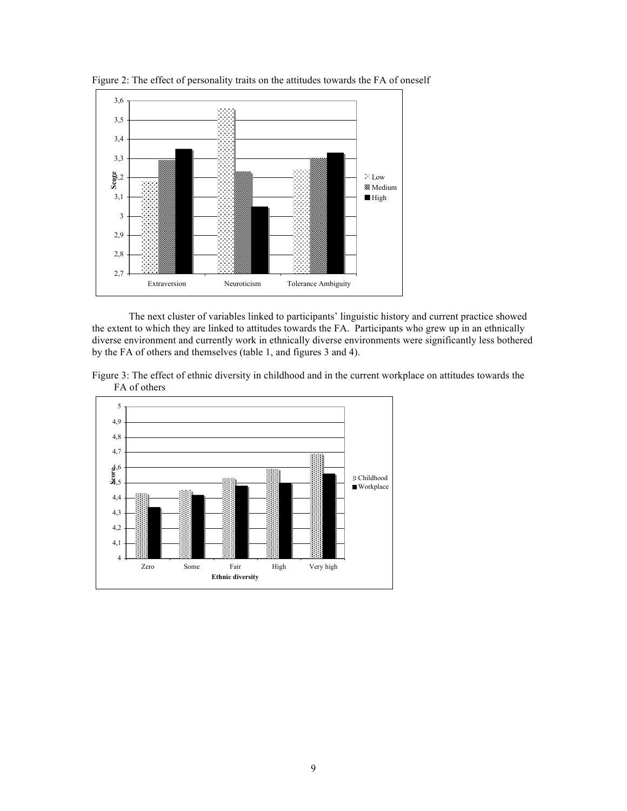

Figure 2: The effect of personality traits on the attitudes towards the FA of oneself

The next cluster of variables linked to participants' linguistic history and current practice showed the extent to which they are linked to attitudes towards the FA. Participants who grew up in an ethnically diverse environment and currently work in ethnically diverse environments were significantly less bothered by the FA of others and themselves (table 1, and figures 3 and 4).



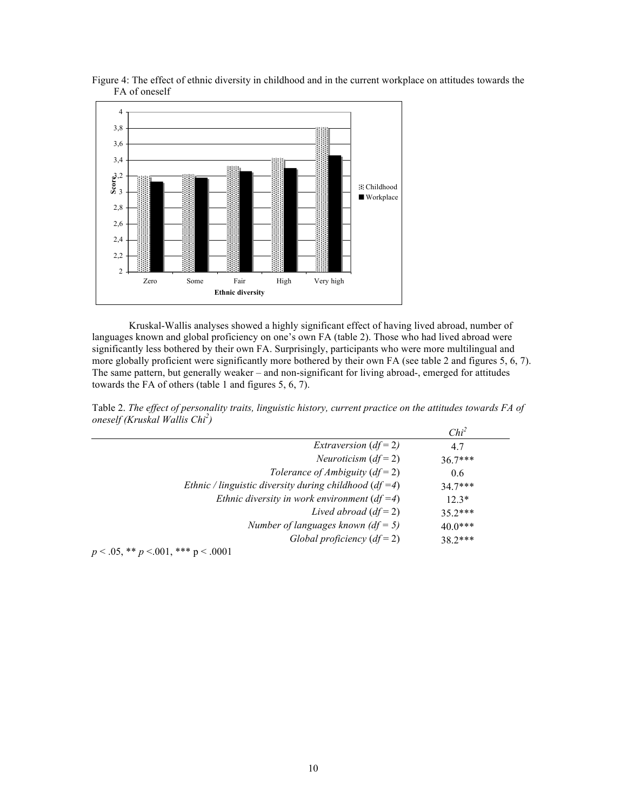

Figure 4: The effect of ethnic diversity in childhood and in the current workplace on attitudes towards the FA of oneself

Kruskal-Wallis analyses showed a highly significant effect of having lived abroad, number of languages known and global proficiency on one's own FA (table 2). Those who had lived abroad were significantly less bothered by their own FA. Surprisingly, participants who were more multilingual and more globally proficient were significantly more bothered by their own FA (see table 2 and figures 5, 6, 7). The same pattern, but generally weaker – and non-significant for living abroad-, emerged for attitudes towards the FA of others (table 1 and figures 5, 6, 7).

Table 2. *The effect of personality traits, linguistic history, current practice on the attitudes towards FA of oneself (Kruskal Wallis Chi<sup>2</sup> )*

|                                                           | Chi <sup>2</sup> |
|-----------------------------------------------------------|------------------|
| <i>Extraversion</i> $(df=2)$                              | 4.7              |
| <i>Neuroticism</i> $(df = 2)$                             | $36.7***$        |
| Tolerance of Ambiguity $(df = 2)$                         | 0.6              |
| Ethnic / linguistic diversity during childhood $(df = 4)$ | $347***$         |
| Ethnic diversity in work environment $(df = 4)$           | $12.3*$          |
| Lived abroad $(df=2)$                                     | $35.2***$        |
| Number of languages known $(df = 5)$                      | $40.0***$        |
| Global proficiency $(df=2)$                               | $38.2***$        |
|                                                           |                  |

*p* < .05, \*\* *p* <.001, \*\*\* p < .0001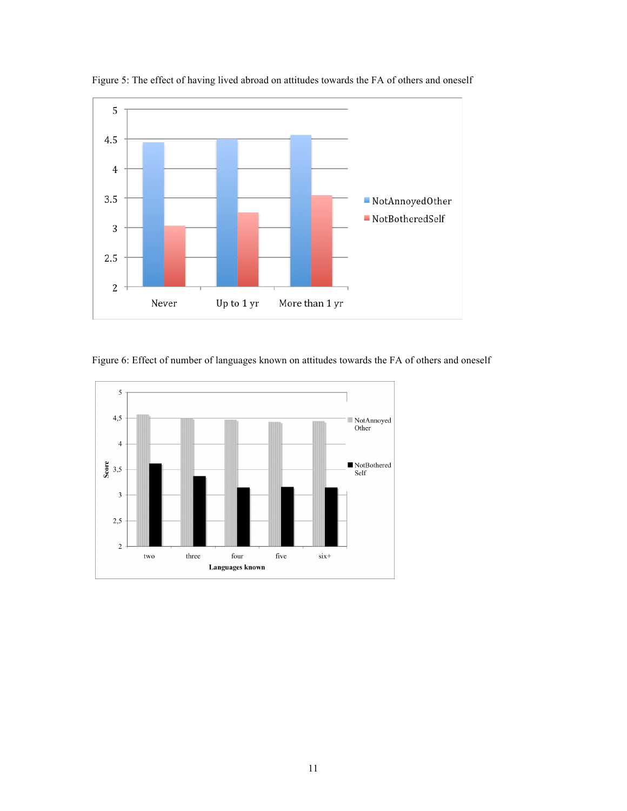

Figure 5: The effect of having lived abroad on attitudes towards the FA of others and oneself



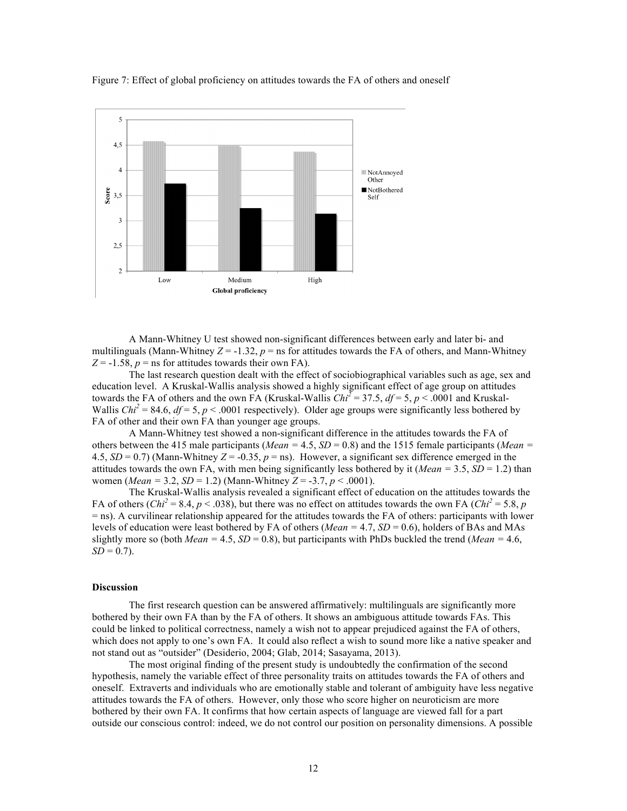

Figure 7: Effect of global proficiency on attitudes towards the FA of others and oneself

A Mann-Whitney U test showed non-significant differences between early and later bi- and multilinguals (Mann-Whitney  $Z = -1.32$ ,  $p =$  ns for attitudes towards the FA of others, and Mann-Whitney  $Z = -1.58$ ,  $p =$ ns for attitudes towards their own FA).

The last research question dealt with the effect of sociobiographical variables such as age, sex and education level. A Kruskal-Wallis analysis showed a highly significant effect of age group on attitudes towards the FA of others and the own FA (Kruskal-Wallis  $Chi^2 = 37.5$ ,  $df = 5$ ,  $p < .0001$  and Kruskal-Wallis *Chi*<sup>2</sup> = 84.6,  $df = 5$ ,  $p < .0001$  respectively). Older age groups were significantly less bothered by FA of other and their own FA than younger age groups.

A Mann-Whitney test showed a non-significant difference in the attitudes towards the FA of others between the 415 male participants (*Mean =* 4.5, *SD* = 0.8) and the 1515 female participants (*Mean =*  4.5,  $SD = 0.7$ ) (Mann-Whitney  $Z = -0.35$ ,  $p =$ ns). However, a significant sex difference emerged in the attitudes towards the own FA, with men being significantly less bothered by it (*Mean* =  $3.5$ , *SD* = 1.2) than women (*Mean =* 3.2, *SD* = 1.2) (Mann-Whitney *Z* = -3.7, *p* < .0001).

The Kruskal-Wallis analysis revealed a significant effect of education on the attitudes towards the FA of others  $(Chi^2 = 8.4, p < .038)$ , but there was no effect on attitudes towards the own FA  $(Chi^2 = 5.8, p$ = ns). A curvilinear relationship appeared for the attitudes towards the FA of others: participants with lower levels of education were least bothered by FA of others (*Mean =* 4.7, *SD* = 0.6), holders of BAs and MAs slightly more so (both *Mean* =  $4.5$ , *SD* = 0.8), but participants with PhDs buckled the trend (*Mean* =  $4.6$ ,  $SD = 0.7$ ).

# **Discussion**

The first research question can be answered affirmatively: multilinguals are significantly more bothered by their own FA than by the FA of others. It shows an ambiguous attitude towards FAs. This could be linked to political correctness, namely a wish not to appear prejudiced against the FA of others, which does not apply to one's own FA. It could also reflect a wish to sound more like a native speaker and not stand out as "outsider" (Desiderio, 2004; Glab, 2014; Sasayama, 2013).

The most original finding of the present study is undoubtedly the confirmation of the second hypothesis, namely the variable effect of three personality traits on attitudes towards the FA of others and oneself. Extraverts and individuals who are emotionally stable and tolerant of ambiguity have less negative attitudes towards the FA of others. However, only those who score higher on neuroticism are more bothered by their own FA. It confirms that how certain aspects of language are viewed fall for a part outside our conscious control: indeed, we do not control our position on personality dimensions. A possible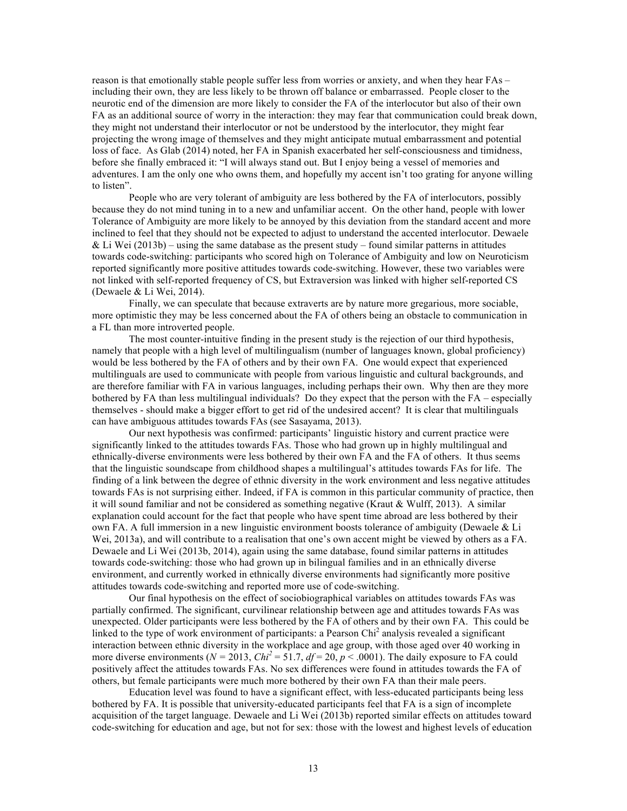reason is that emotionally stable people suffer less from worries or anxiety, and when they hear FAs – including their own, they are less likely to be thrown off balance or embarrassed. People closer to the neurotic end of the dimension are more likely to consider the FA of the interlocutor but also of their own FA as an additional source of worry in the interaction: they may fear that communication could break down, they might not understand their interlocutor or not be understood by the interlocutor, they might fear projecting the wrong image of themselves and they might anticipate mutual embarrassment and potential loss of face. As Glab (2014) noted, her FA in Spanish exacerbated her self-consciousness and timidness, before she finally embraced it: "I will always stand out. But I enjoy being a vessel of memories and adventures. I am the only one who owns them, and hopefully my accent isn't too grating for anyone willing to listen".

People who are very tolerant of ambiguity are less bothered by the FA of interlocutors, possibly because they do not mind tuning in to a new and unfamiliar accent. On the other hand, people with lower Tolerance of Ambiguity are more likely to be annoyed by this deviation from the standard accent and more inclined to feel that they should not be expected to adjust to understand the accented interlocutor. Dewaele & Li Wei (2013b) – using the same database as the present study – found similar patterns in attitudes towards code-switching: participants who scored high on Tolerance of Ambiguity and low on Neuroticism reported significantly more positive attitudes towards code-switching. However, these two variables were not linked with self-reported frequency of CS, but Extraversion was linked with higher self-reported CS (Dewaele & Li Wei, 2014).

Finally, we can speculate that because extraverts are by nature more gregarious, more sociable, more optimistic they may be less concerned about the FA of others being an obstacle to communication in a FL than more introverted people.

The most counter-intuitive finding in the present study is the rejection of our third hypothesis, namely that people with a high level of multilingualism (number of languages known, global proficiency) would be less bothered by the FA of others and by their own FA. One would expect that experienced multilinguals are used to communicate with people from various linguistic and cultural backgrounds, and are therefore familiar with FA in various languages, including perhaps their own. Why then are they more bothered by FA than less multilingual individuals? Do they expect that the person with the FA – especially themselves - should make a bigger effort to get rid of the undesired accent? It is clear that multilinguals can have ambiguous attitudes towards FAs (see Sasayama, 2013).

Our next hypothesis was confirmed: participants' linguistic history and current practice were significantly linked to the attitudes towards FAs. Those who had grown up in highly multilingual and ethnically-diverse environments were less bothered by their own FA and the FA of others. It thus seems that the linguistic soundscape from childhood shapes a multilingual's attitudes towards FAs for life. The finding of a link between the degree of ethnic diversity in the work environment and less negative attitudes towards FAs is not surprising either. Indeed, if FA is common in this particular community of practice, then it will sound familiar and not be considered as something negative (Kraut  $&$  Wulff, 2013). A similar explanation could account for the fact that people who have spent time abroad are less bothered by their own FA. A full immersion in a new linguistic environment boosts tolerance of ambiguity (Dewaele & Li Wei, 2013a), and will contribute to a realisation that one's own accent might be viewed by others as a FA. Dewaele and Li Wei (2013b, 2014), again using the same database, found similar patterns in attitudes towards code-switching: those who had grown up in bilingual families and in an ethnically diverse environment, and currently worked in ethnically diverse environments had significantly more positive attitudes towards code-switching and reported more use of code-switching.

Our final hypothesis on the effect of sociobiographical variables on attitudes towards FAs was partially confirmed. The significant, curvilinear relationship between age and attitudes towards FAs was unexpected. Older participants were less bothered by the FA of others and by their own FA. This could be linked to the type of work environment of participants: a Pearson Chi<sup>2</sup> analysis revealed a significant interaction between ethnic diversity in the workplace and age group, with those aged over 40 working in more diverse environments ( $N = 2013$ ,  $Chi^2 = 51.7$ ,  $df = 20$ ,  $p < .0001$ ). The daily exposure to FA could positively affect the attitudes towards FAs. No sex differences were found in attitudes towards the FA of others, but female participants were much more bothered by their own FA than their male peers.

Education level was found to have a significant effect, with less-educated participants being less bothered by FA. It is possible that university-educated participants feel that FA is a sign of incomplete acquisition of the target language. Dewaele and Li Wei (2013b) reported similar effects on attitudes toward code-switching for education and age, but not for sex: those with the lowest and highest levels of education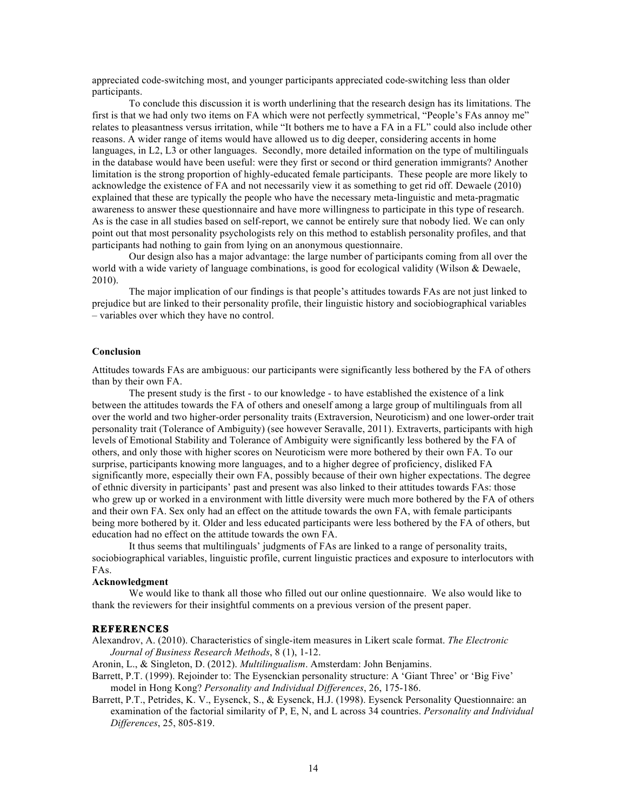appreciated code-switching most, and younger participants appreciated code-switching less than older participants.

To conclude this discussion it is worth underlining that the research design has its limitations. The first is that we had only two items on FA which were not perfectly symmetrical, "People's FAs annoy me" relates to pleasantness versus irritation, while "It bothers me to have a FA in a FL" could also include other reasons. A wider range of items would have allowed us to dig deeper, considering accents in home languages, in L2, L3 or other languages. Secondly, more detailed information on the type of multilinguals in the database would have been useful: were they first or second or third generation immigrants? Another limitation is the strong proportion of highly-educated female participants. These people are more likely to acknowledge the existence of FA and not necessarily view it as something to get rid off. Dewaele (2010) explained that these are typically the people who have the necessary meta-linguistic and meta-pragmatic awareness to answer these questionnaire and have more willingness to participate in this type of research. As is the case in all studies based on self-report, we cannot be entirely sure that nobody lied. We can only point out that most personality psychologists rely on this method to establish personality profiles, and that participants had nothing to gain from lying on an anonymous questionnaire.

Our design also has a major advantage: the large number of participants coming from all over the world with a wide variety of language combinations, is good for ecological validity (Wilson & Dewaele, 2010).

The major implication of our findings is that people's attitudes towards FAs are not just linked to prejudice but are linked to their personality profile, their linguistic history and sociobiographical variables – variables over which they have no control.

## **Conclusion**

Attitudes towards FAs are ambiguous: our participants were significantly less bothered by the FA of others than by their own FA.

The present study is the first - to our knowledge - to have established the existence of a link between the attitudes towards the FA of others and oneself among a large group of multilinguals from all over the world and two higher-order personality traits (Extraversion, Neuroticism) and one lower-order trait personality trait (Tolerance of Ambiguity) (see however Seravalle, 2011). Extraverts, participants with high levels of Emotional Stability and Tolerance of Ambiguity were significantly less bothered by the FA of others, and only those with higher scores on Neuroticism were more bothered by their own FA. To our surprise, participants knowing more languages, and to a higher degree of proficiency, disliked FA significantly more, especially their own FA, possibly because of their own higher expectations. The degree of ethnic diversity in participants' past and present was also linked to their attitudes towards FAs: those who grew up or worked in a environment with little diversity were much more bothered by the FA of others and their own FA. Sex only had an effect on the attitude towards the own FA, with female participants being more bothered by it. Older and less educated participants were less bothered by the FA of others, but education had no effect on the attitude towards the own FA.

It thus seems that multilinguals' judgments of FAs are linked to a range of personality traits, sociobiographical variables, linguistic profile, current linguistic practices and exposure to interlocutors with FAs.

#### **Acknowledgment**

We would like to thank all those who filled out our online questionnaire. We also would like to thank the reviewers for their insightful comments on a previous version of the present paper.

## **REFERENCES**

Alexandrov, A. (2010). Characteristics of single-item measures in Likert scale format. *The Electronic Journal of Business Research Methods*, 8 (1), 1-12.

Aronin, L., & Singleton, D. (2012). *Multilingualism*. Amsterdam: John Benjamins.

- Barrett, P.T. (1999). Rejoinder to: The Eysenckian personality structure: A 'Giant Three' or 'Big Five' model in Hong Kong? *Personality and Individual Differences*, 26, 175-186.
- Barrett, P.T., Petrides, K. V., Eysenck, S., & Eysenck, H.J. (1998). Eysenck Personality Questionnaire: an examination of the factorial similarity of P, E, N, and L across 34 countries. *Personality and Individual Differences*, 25, 805-819.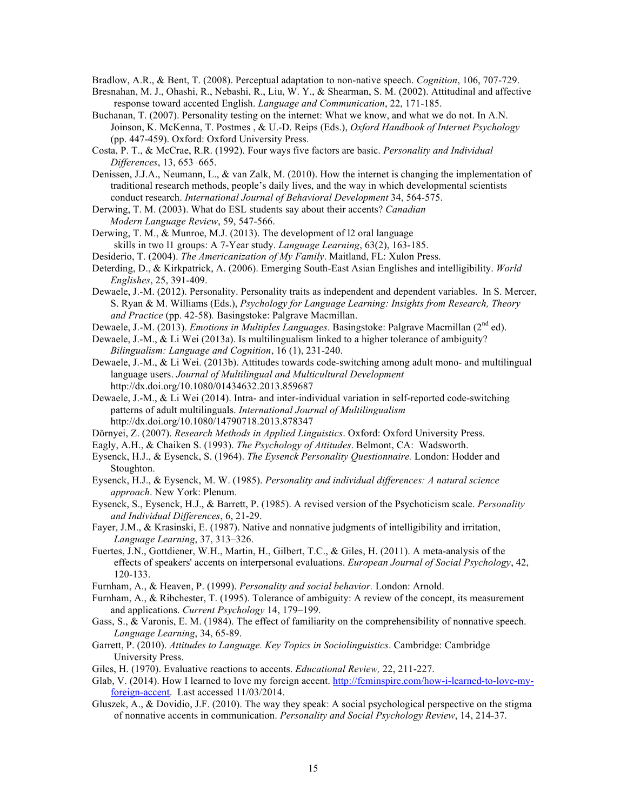Bradlow, A.R., & Bent, T. (2008). Perceptual adaptation to non-native speech. *Cognition*, 106, 707-729.

- Bresnahan, M. J., Ohashi, R., Nebashi, R., Liu, W. Y., & Shearman, S. M. (2002). Attitudinal and affective response toward accented English. *Language and Communication*, 22, 171-185.
- Buchanan, T. (2007). Personality testing on the internet: What we know, and what we do not. In A.N. Joinson, K. McKenna, T. Postmes , & U.-D. Reips (Eds.), *Oxford Handbook of Internet Psychology* (pp. 447-459). Oxford: Oxford University Press.
- Costa, P. T., & McCrae, R.R. (1992). Four ways five factors are basic. *Personality and Individual Differences*, 13, 653–665.
- Denissen, J.J.A., Neumann, L., & van Zalk, M. (2010). How the internet is changing the implementation of traditional research methods, people's daily lives, and the way in which developmental scientists conduct research. *International Journal of Behavioral Development* 34, 564-575.
- Derwing, T. M. (2003). What do ESL students say about their accents? *Canadian Modern Language Review*, 59, 547-566.
- Derwing, T. M., & Munroe, M.J. (2013). The development of l2 oral language skills in two l1 groups: A 7-Year study. *Language Learning*, 63(2), 163-185.
- Desiderio, T. (2004). *The Americanization of My Family*. Maitland, FL: Xulon Press.
- Deterding, D., & Kirkpatrick, A. (2006). Emerging South-East Asian Englishes and intelligibility. *World Englishes*, 25, 391-409.
- Dewaele, J.-M. (2012). Personality. Personality traits as independent and dependent variables. In S. Mercer, S. Ryan & M. Williams (Eds.), *Psychology for Language Learning: Insights from Research, Theory and Practice* (pp. 42-58)*.* Basingstoke: Palgrave Macmillan.
- Dewaele, J.-M. (2013). *Emotions in Multiples Languages*. Basingstoke: Palgrave Macmillan (2<sup>nd</sup> ed).
- Dewaele, J.-M., & Li Wei (2013a). Is multilingualism linked to a higher tolerance of ambiguity? *Bilingualism: Language and Cognition*, 16 (1), 231-240.
- Dewaele, J.-M., & Li Wei. (2013b). Attitudes towards code-switching among adult mono- and multilingual language users. *Journal of Multilingual and Multicultural Development* http://dx.doi.org/10.1080/01434632.2013.859687
- Dewaele, J.-M., & Li Wei (2014). Intra- and inter-individual variation in self-reported code-switching patterns of adult multilinguals. *International Journal of Multilingualism*  http://dx.doi.org/10.1080/14790718.2013.878347
- Dörnyei, Z. (2007). *Research Methods in Applied Linguistics*. Oxford: Oxford University Press.
- Eagly, A.H., & Chaiken S. (1993). *The Psychology of Attitudes*. Belmont, CA: Wadsworth.
- Eysenck, H.J., & Eysenck, S. (1964). *The Eysenck Personality Questionnaire.* London: Hodder and Stoughton.
- Eysenck, H.J., & Eysenck, M. W. (1985). *Personality and individual differences: A natural science approach*. New York: Plenum.
- Eysenck, S., Eysenck, H.J., & Barrett, P. (1985). A revised version of the Psychoticism scale. *Personality and Individual Differences*, 6, 21-29.
- Fayer, J.M., & Krasinski, E. (1987). Native and nonnative judgments of intelligibility and irritation, *Language Learning*, 37, 313–326.
- Fuertes, J.N., Gottdiener, W.H., Martin, H., Gilbert, T.C., & Giles, H. (2011). A meta-analysis of the effects of speakers' accents on interpersonal evaluations. *European Journal of Social Psychology*, 42, 120-133.
- Furnham, A., & Heaven, P. (1999). *Personality and social behavior.* London: Arnold.
- Furnham, A., & Ribchester, T. (1995). Tolerance of ambiguity: A review of the concept, its measurement and applications. *Current Psychology* 14, 179–199.
- Gass, S., & Varonis, E. M. (1984). The effect of familiarity on the comprehensibility of nonnative speech. *Language Learning*, 34, 65-89.
- Garrett, P. (2010). *Attitudes to Language. Key Topics in Sociolinguistics*. Cambridge: Cambridge University Press.
- Giles, H. (1970). Evaluative reactions to accents. *Educational Review,* 22, 211-227.
- Glab, V. (2014). How I learned to love my foreign accent. http://feminspire.com/how-i-learned-to-love-myforeign-accent. Last accessed 11/03/2014.
- Gluszek, A., & Dovidio, J.F. (2010). The way they speak: A social psychological perspective on the stigma of nonnative accents in communication. *Personality and Social Psychology Review*, 14, 214-37.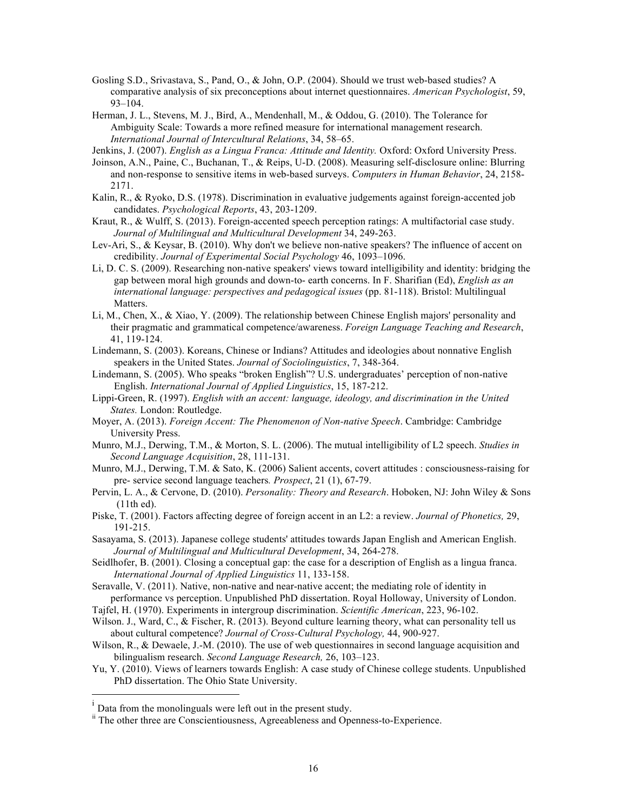- Gosling S.D., Srivastava, S., Pand, O., & John, O.P. (2004). Should we trust web-based studies? A comparative analysis of six preconceptions about internet questionnaires. *American Psychologist*, 59, 93–104.
- Herman, J. L., Stevens, M. J., Bird, A., Mendenhall, M., & Oddou, G. (2010). The Tolerance for Ambiguity Scale: Towards a more refined measure for international management research. *International Journal of Intercultural Relations*, 34, 58–65.
- Jenkins, J. (2007). *English as a Lingua Franca: Attitude and Identity.* Oxford: Oxford University Press.
- Joinson, A.N., Paine, C., Buchanan, T., & Reips, U-D. (2008). Measuring self-disclosure online: Blurring and non-response to sensitive items in web-based surveys. *Computers in Human Behavior*, 24, 2158- 2171.
- Kalin, R., & Ryoko, D.S. (1978). Discrimination in evaluative judgements against foreign-accented job candidates. *Psychological Reports*, 43, 203-1209.
- Kraut, R., & Wulff, S. (2013). Foreign-accented speech perception ratings: A multifactorial case study. *Journal of Multilingual and Multicultural Development* 34, 249-263.
- Lev-Ari, S., & Keysar, B. (2010). Why don't we believe non-native speakers? The influence of accent on credibility. *Journal of Experimental Social Psychology* 46, 1093–1096.
- Li, D. C. S. (2009). Researching non-native speakers' views toward intelligibility and identity: bridging the gap between moral high grounds and down-to- earth concerns. In F. Sharifian (Ed), *English as an international language: perspectives and pedagogical issues* (pp. 81-118). Bristol: Multilingual Matters.
- Li, M., Chen, X., & Xiao, Y. (2009). The relationship between Chinese English majors' personality and their pragmatic and grammatical competence/awareness. *Foreign Language Teaching and Research*, 41, 119-124.
- Lindemann, S. (2003). Koreans, Chinese or Indians? Attitudes and ideologies about nonnative English speakers in the United States. *Journal of Sociolinguistics*, 7, 348-364.
- Lindemann, S. (2005). Who speaks "broken English"? U.S. undergraduates' perception of non-native English. *International Journal of Applied Linguistics*, 15, 187-212.
- Lippi-Green, R. (1997). *English with an accent: language, ideology, and discrimination in the United States.* London: Routledge.
- Moyer, A. (2013). *Foreign Accent: The Phenomenon of Non-native Speech*. Cambridge: Cambridge University Press.
- Munro, M.J., Derwing, T.M., & Morton, S. L. (2006). The mutual intelligibility of L2 speech. *Studies in Second Language Acquisition*, 28, 111-131.
- Munro, M.J., Derwing, T.M. & Sato, K. (2006) Salient accents, covert attitudes : consciousness-raising for pre- service second language teachers*. Prospect*, 21 (1), 67-79.
- Pervin, L. A., & Cervone, D. (2010). *Personality: Theory and Research*. Hoboken, NJ: John Wiley & Sons (11th ed).
- Piske, T. (2001). Factors affecting degree of foreign accent in an L2: a review. *Journal of Phonetics,* 29, 191-215.
- Sasayama, S. (2013). Japanese college students' attitudes towards Japan English and American English. *Journal of Multilingual and Multicultural Development*, 34, 264-278.
- Seidlhofer, B. (2001). Closing a conceptual gap: the case for a description of English as a lingua franca. *International Journal of Applied Linguistics* 11, 133-158.
- Seravalle, V. (2011). Native, non-native and near-native accent; the mediating role of identity in performance vs perception. Unpublished PhD dissertation. Royal Holloway, University of London.
- Tajfel, H. (1970). Experiments in intergroup discrimination. *Scientific American*, 223, 96-102.
- Wilson. J., Ward, C., & Fischer, R. (2013). Beyond culture learning theory, what can personality tell us about cultural competence? *Journal of Cross-Cultural Psychology,* 44, 900-927.
- Wilson, R., & Dewaele, J.-M. (2010). The use of web questionnaires in second language acquisition and bilingualism research. *Second Language Research,* 26, 103–123.
- Yu, Y. (2010). Views of learners towards English: A case study of Chinese college students. Unpublished PhD dissertation. The Ohio State University.

<sup>|&</sup>lt;br>i <sup>i</sup> Data from the monolinguals were left out in the present study.

ii The other three are Conscientiousness, Agreeableness and Openness-to-Experience.